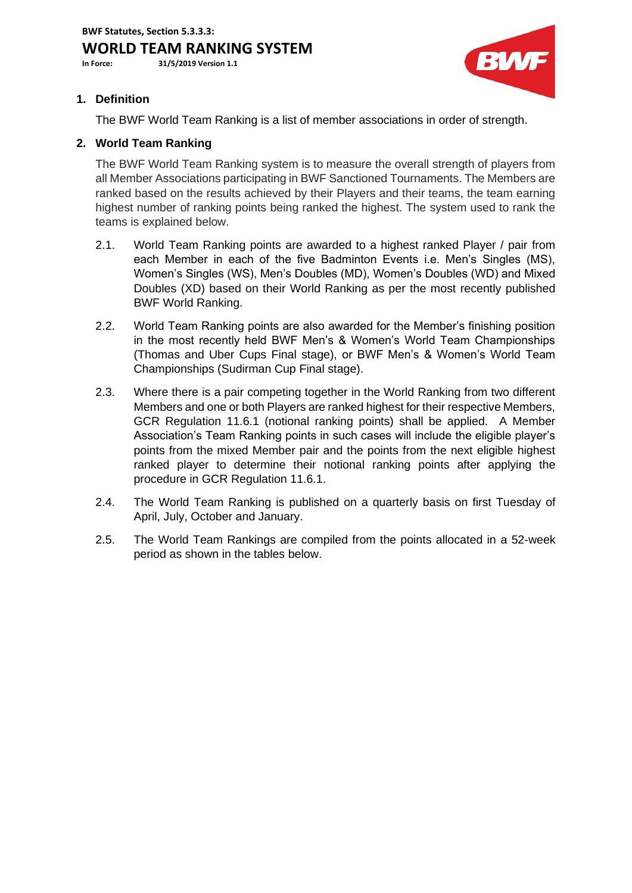**BWF Statutes, Section 5.3.3.3:** 

## **WORLD TEAM RANKING SYSTEM In Force: 31/5/2019 Version 1.1**



## **1. Definition**

The BWF World Team Ranking is a list of member associations in order of strength.

## **2. World Team Ranking**

The BWF World Team Ranking system is to measure the overall strength of players from all Member Associations participating in BWF Sanctioned Tournaments. The Members are ranked based on the results achieved by their Players and their teams, the team earning highest number of ranking points being ranked the highest. The system used to rank the teams is explained below.

- 2.1. World Team Ranking points are awarded to a highest ranked Player / pair from each Member in each of the five Badminton Events i.e. Men's Singles (MS), Women's Singles (WS), Men's Doubles (MD), Women's Doubles (WD) and Mixed Doubles (XD) based on their World Ranking as per the most recently published BWF World Ranking.
- 2.2. World Team Ranking points are also awarded for the Member's finishing position in the most recently held BWF Men's & Women's World Team Championships (Thomas and Uber Cups Final stage), or BWF Men's & Women's World Team Championships (Sudirman Cup Final stage).
- 2.3. Where there is a pair competing together in the World Ranking from two different Members and one or both Players are ranked highest for their respective Members, GCR Regulation 11.6.1 (notional ranking points) shall be applied. A Member Association's Team Ranking points in such cases will include the eligible player's points from the mixed Member pair and the points from the next eligible highest ranked player to determine their notional ranking points after applying the procedure in GCR Regulation 11.6.1.
- 2.4. The World Team Ranking is published on a quarterly basis on first Tuesday of April, July, October and January.
- 2.5. The World Team Rankings are compiled from the points allocated in a 52-week period as shown in the tables below.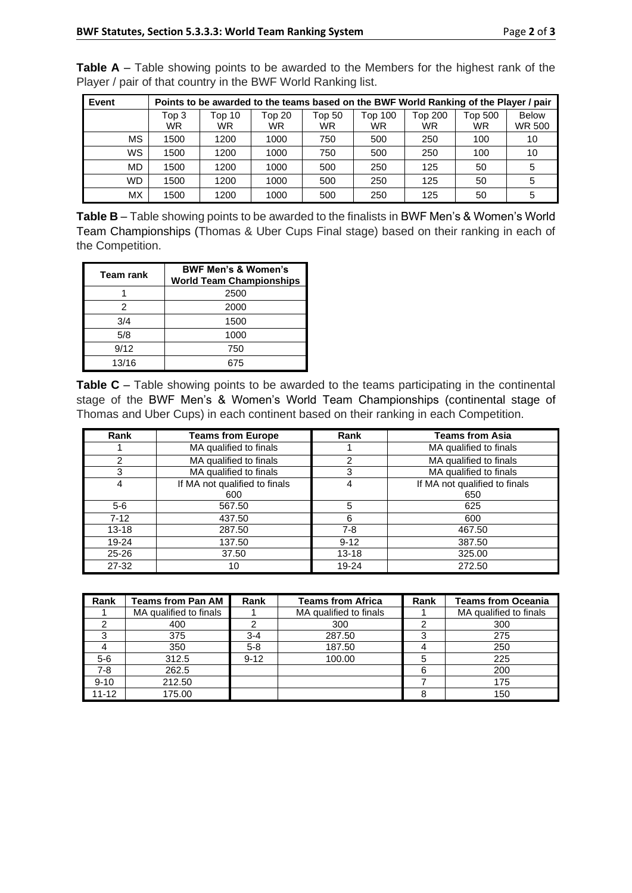| Event     | Points to be awarded to the teams based on the BWF World Ranking of the Player / pair |        |        |           |         |         |           |               |  |
|-----------|---------------------------------------------------------------------------------------|--------|--------|-----------|---------|---------|-----------|---------------|--|
|           | Top 3                                                                                 | Top 10 | Top 20 | Top 50    | Top 100 | Top 200 | Top 500   | <b>Below</b>  |  |
|           | <b>WR</b>                                                                             | WR     | WR.    | <b>WR</b> | WR.     | WR.     | <b>WR</b> | <b>WR 500</b> |  |
| ΜS        | 1500                                                                                  | 1200   | 1000   | 750       | 500     | 250     | 100       | 10            |  |
| WS        | 1500                                                                                  | 1200   | 1000   | 750       | 500     | 250     | 100       | 10            |  |
| MD        | 1500                                                                                  | 1200   | 1000   | 500       | 250     | 125     | 50        | 5             |  |
| <b>WD</b> | 1500                                                                                  | 1200   | 1000   | 500       | 250     | 125     | 50        | 5             |  |
| МX        | 1500                                                                                  | 1200   | 1000   | 500       | 250     | 125     | 50        |               |  |

**Table A** – Table showing points to be awarded to the Members for the highest rank of the Player / pair of that country in the BWF World Ranking list.

**Table B** – Table showing points to be awarded to the finalists in BWF Men's & Women's World Team Championships (Thomas & Uber Cups Final stage) based on their ranking in each of the Competition.

| Team rank | <b>BWF Men's &amp; Women's</b><br><b>World Team Championships</b> |  |  |
|-----------|-------------------------------------------------------------------|--|--|
|           | 2500                                                              |  |  |
| 2         | 2000                                                              |  |  |
| 3/4       | 1500                                                              |  |  |
| 5/8       | 1000                                                              |  |  |
| 9/12      | 750                                                               |  |  |
| 13/16     | 675                                                               |  |  |

**Table C** – Table showing points to be awarded to the teams participating in the continental stage of the BWF Men's & Women's World Team Championships (continental stage of Thomas and Uber Cups) in each continent based on their ranking in each Competition.

| Rank          | <b>Teams from Europe</b>      | Rank      | <b>Teams from Asia</b>        |  |  |
|---------------|-------------------------------|-----------|-------------------------------|--|--|
|               | MA qualified to finals        |           | MA qualified to finals        |  |  |
| $\mathcal{P}$ | MA qualified to finals        | 2         | MA qualified to finals        |  |  |
| 3             | MA qualified to finals        | 3         | MA qualified to finals        |  |  |
| 4             | If MA not qualified to finals | 4         | If MA not qualified to finals |  |  |
|               | 600                           |           | 650                           |  |  |
| $5-6$         | 567.50                        | 5         | 625                           |  |  |
| $7-12$        | 437.50                        | 6         | 600                           |  |  |
| $13 - 18$     | 287.50                        | $7-8$     | 467.50                        |  |  |
| 19-24         | 137.50                        | $9 - 12$  | 387.50                        |  |  |
| $25 - 26$     | 37.50                         | $13 - 18$ | 325.00                        |  |  |
| $27 - 32$     | 10                            | 19-24     | 272.50                        |  |  |

| Rank     | <b>Teams from Pan AM</b> | Rank     | <b>Teams from Africa</b> | Rank | <b>Teams from Oceania</b> |
|----------|--------------------------|----------|--------------------------|------|---------------------------|
|          | MA qualified to finals   |          | MA qualified to finals   |      | MA qualified to finals    |
|          | 400                      |          | 300                      |      | 300                       |
| 3        | 375                      | $3 - 4$  | 287.50                   | 3    | 275                       |
|          | 350                      | $5 - 8$  | 187.50                   |      | 250                       |
| $5-6$    | 312.5                    | $9 - 12$ | 100.00                   | 5    | 225                       |
| 7-8      | 262.5                    |          |                          | 6    | 200                       |
| $9 - 10$ | 212.50                   |          |                          |      | 175                       |
| 11-12    | 175.00                   |          |                          | 8    | 150                       |